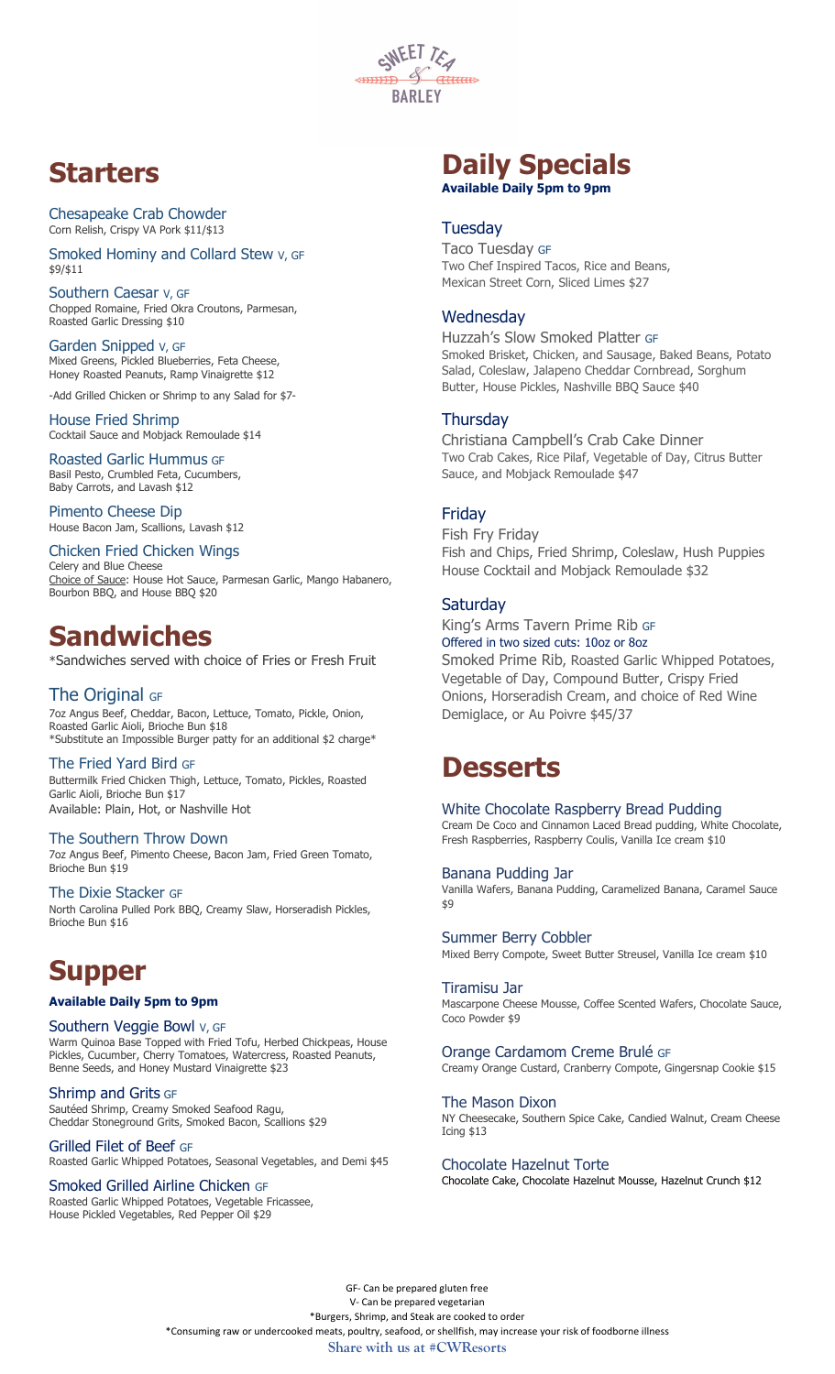

# **Starters**

Chesapeake Crab Chowder Corn Relish, Crispy VA Pork \$11/\$13

Smoked Hominy and Collard Stew V, GF \$9/\$11

Southern Caesar v, GF Chopped Romaine, Fried Okra Croutons, Parmesan, Roasted Garlic Dressing \$10

Garden Snipped V, GF Mixed Greens, Pickled Blueberries, Feta Cheese, Honey Roasted Peanuts, Ramp Vinaigrette \$12

-Add Grilled Chicken or Shrimp to any Salad for \$7- House Fried Shrimp Cocktail Sauce and Mobjack Remoulade \$14

Roasted Garlic Hummus GF Basil Pesto, Crumbled Feta, Cucumbers, Baby Carrots, and Lavash \$12

Pimento Cheese Dip House Bacon Jam, Scallions, Lavash \$12

Chicken Fried Chicken Wings Celery and Blue Cheese Choice of Sauce: House Hot Sauce, Parmesan Garlic, Mango Habanero, Bourbon BBQ, and House BBQ \$20

# **Sandwiches**

\*Sandwiches served with choice of Fries or Fresh Fruit

## The Original GF

7oz Angus Beef, Cheddar, Bacon, Lettuce, Tomato, Pickle, Onion, Roasted Garlic Aioli, Brioche Bun \$18 \*Substitute an Impossible Burger patty for an additional \$2 charge\*

The Fried Yard Bird GF Buttermilk Fried Chicken Thigh, Lettuce, Tomato, Pickles, Roasted Garlic Aioli, Brioche Bun \$17 Available: Plain, Hot, or Nashville Hot

#### The Southern Throw Down

7oz Angus Beef, Pimento Cheese, Bacon Jam, Fried Green Tomato, Brioche Bun \$19

The Dixie Stacker GF

North Carolina Pulled Pork BBQ, Creamy Slaw, Horseradish Pickles, Brioche Bun \$16

# **Supper**

#### **Available Daily 5pm to 9pm**

### Southern Veggie Bowl V, GF

Warm Quinoa Base Topped with Fried Tofu, Herbed Chickpeas, House Pickles, Cucumber, Cherry Tomatoes, Watercress, Roasted Peanuts, Benne Seeds, and Honey Mustard Vinaigrette \$23

#### Shrimp and Grits GF

Sautéed Shrimp, Creamy Smoked Seafood Ragu, Cheddar Stoneground Grits, Smoked Bacon, Scallions \$29

Grilled Filet of Beef GF Roasted Garlic Whipped Potatoes, Seasonal Vegetables, and Demi \$45

Smoked Grilled Airline Chicken GF Roasted Garlic Whipped Potatoes, Vegetable Fricassee, House Pickled Vegetables, Red Pepper Oil \$29

## **Daily Specials Available Daily 5pm to 9pm**

### **Tuesday**

Taco Tuesday GF Two Chef Inspired Tacos, Rice and Beans, Mexican Street Corn, Sliced Limes \$27

## **Wednesday**

Huzzah's Slow Smoked Platter GF Smoked Brisket, Chicken, and Sausage, Baked Beans, Potato Salad, Coleslaw, Jalapeno Cheddar Cornbread, Sorghum Butter, House Pickles, Nashville BBQ Sauce \$40

### **Thursday**

Christiana Campbell's Crab Cake Dinner Two Crab Cakes, Rice Pilaf, Vegetable of Day, Citrus Butter Sauce, and Mobjack Remoulade \$47

## Friday

Fish Fry Friday Fish and Chips, Fried Shrimp, Coleslaw, Hush Puppies House Cocktail and Mobjack Remoulade \$32

## **Saturday**

King's Arms Tavern Prime Rib GF Offered in two sized cuts: 10oz or 8oz Smoked Prime Rib, Roasted Garlic Whipped Potatoes, Vegetable of Day, Compound Butter, Crispy Fried Onions, Horseradish Cream, and choice of Red Wine Demiglace, or Au Poivre \$45/37

# **Desserts**

#### White Chocolate Raspberry Bread Pudding

Cream De Coco and Cinnamon Laced Bread pudding, White Chocolate, Fresh Raspberries, Raspberry Coulis, Vanilla Ice cream \$10

#### Banana Pudding Jar

Vanilla Wafers, Banana Pudding, Caramelized Banana, Caramel Sauce \$9

#### Summer Berry Cobbler

Mixed Berry Compote, Sweet Butter Streusel, Vanilla Ice cream \$10

#### Tiramisu Jar

Mascarpone Cheese Mousse, Coffee Scented Wafers, Chocolate Sauce, Coco Powder \$9

#### Orange Cardamom Creme Brulé GF

Creamy Orange Custard, Cranberry Compote, Gingersnap Cookie \$15

#### The Mason Dixon

NY Cheesecake, Southern Spice Cake, Candied Walnut, Cream Cheese Icing \$13

#### Chocolate Hazelnut Torte

Chocolate Cake, Chocolate Hazelnut Mousse, Hazelnut Crunch \$12

GF- Can be prepared gluten free V- Can be prepared vegetarian \*Burgers, Shrimp, and Steak are cooked to order \*Consuming raw or undercooked meats, poultry, seafood, or shellfish, may increase your risk of foodborne illness **Share with us at #CWResorts**